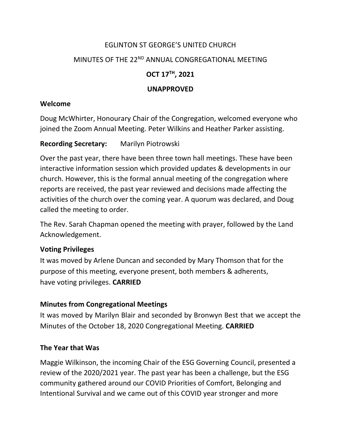# EGLINTON ST GEORGE'S UNITED CHURCH MINUTES OF THE 22<sup>ND</sup> ANNUAL CONGREGATIONAL MEETING **OCT 17TH, 2021 UNAPPROVED**

## **Welcome**

Doug McWhirter, Honourary Chair of the Congregation, welcomed everyone who joined the Zoom Annual Meeting. Peter Wilkins and Heather Parker assisting.

## **Recording Secretary:** Marilyn Piotrowski

Over the past year, there have been three town hall meetings. These have been interactive information session which provided updates & developments in our church. However, this is the formal annual meeting of the congregation where reports are received, the past year reviewed and decisions made affecting the activities of the church over the coming year. A quorum was declared, and Doug called the meeting to order.

The Rev. Sarah Chapman opened the meeting with prayer, followed by the Land Acknowledgement.

## **Voting Privileges**

It was moved by Arlene Duncan and seconded by Mary Thomson that for the purpose of this meeting, everyone present, both members & adherents, have voting privileges. **CARRIED**

## **Minutes from Congregational Meetings**

It was moved by Marilyn Blair and seconded by Bronwyn Best that we accept the Minutes of the October 18, 2020 Congregational Meeting. **CARRIED**

## **The Year that Was**

Maggie Wilkinson, the incoming Chair of the ESG Governing Council, presented a review of the 2020/2021 year. The past year has been a challenge, but the ESG community gathered around our COVID Priorities of Comfort, Belonging and Intentional Survival and we came out of this COVID year stronger and more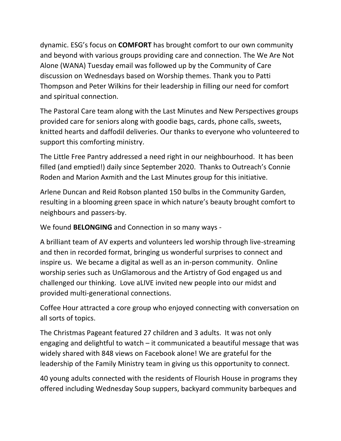dynamic. ESG's focus on **COMFORT** has brought comfort to our own community and beyond with various groups providing care and connection. The We Are Not Alone (WANA) Tuesday email was followed up by the Community of Care discussion on Wednesdays based on Worship themes. Thank you to Patti Thompson and Peter Wilkins for their leadership in filling our need for comfort and spiritual connection.

The Pastoral Care team along with the Last Minutes and New Perspectives groups provided care for seniors along with goodie bags, cards, phone calls, sweets, knitted hearts and daffodil deliveries. Our thanks to everyone who volunteered to support this comforting ministry.

The Little Free Pantry addressed a need right in our neighbourhood. It has been filled (and emptied!) daily since September 2020. Thanks to Outreach's Connie Roden and Marion Axmith and the Last Minutes group for this initiative.

Arlene Duncan and Reid Robson planted 150 bulbs in the Community Garden, resulting in a blooming green space in which nature's beauty brought comfort to neighbours and passers-by.

We found **BELONGING** and Connection in so many ways -

A brilliant team of AV experts and volunteers led worship through live-streaming and then in recorded format, bringing us wonderful surprises to connect and inspire us. We became a digital as well as an in-person community. Online worship series such as UnGlamorous and the Artistry of God engaged us and challenged our thinking. Love aLIVE invited new people into our midst and provided multi-generational connections.

Coffee Hour attracted a core group who enjoyed connecting with conversation on all sorts of topics.

The Christmas Pageant featured 27 children and 3 adults. It was not only engaging and delightful to watch – it communicated a beautiful message that was widely shared with 848 views on Facebook alone! We are grateful for the leadership of the Family Ministry team in giving us this opportunity to connect.

40 young adults connected with the residents of Flourish House in programs they offered including Wednesday Soup suppers, backyard community barbeques and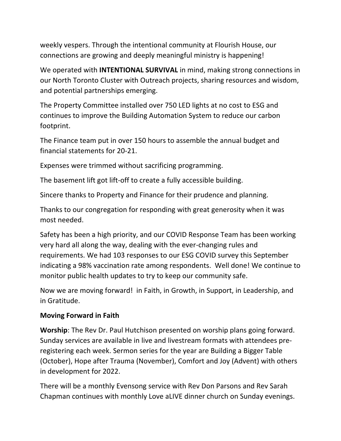weekly vespers. Through the intentional community at Flourish House, our connections are growing and deeply meaningful ministry is happening!

We operated with **INTENTIONAL SURVIVAL** in mind, making strong connections in our North Toronto Cluster with Outreach projects, sharing resources and wisdom, and potential partnerships emerging.

The Property Committee installed over 750 LED lights at no cost to ESG and continues to improve the Building Automation System to reduce our carbon footprint.

The Finance team put in over 150 hours to assemble the annual budget and financial statements for 20-21.

Expenses were trimmed without sacrificing programming.

The basement lift got lift-off to create a fully accessible building.

Sincere thanks to Property and Finance for their prudence and planning.

Thanks to our congregation for responding with great generosity when it was most needed.

Safety has been a high priority, and our COVID Response Team has been working very hard all along the way, dealing with the ever-changing rules and requirements. We had 103 responses to our ESG COVID survey this September indicating a 98% vaccination rate among respondents. Well done! We continue to monitor public health updates to try to keep our community safe.

Now we are moving forward! in Faith, in Growth, in Support, in Leadership, and in Gratitude.

## **Moving Forward in Faith**

**Worship**: The Rev Dr. Paul Hutchison presented on worship plans going forward. Sunday services are available in live and livestream formats with attendees preregistering each week. Sermon series for the year are Building a Bigger Table (October), Hope after Trauma (November), Comfort and Joy (Advent) with others in development for 2022.

There will be a monthly Evensong service with Rev Don Parsons and Rev Sarah Chapman continues with monthly Love aLIVE dinner church on Sunday evenings.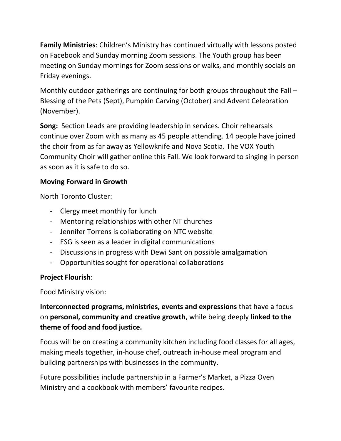**Family Ministries**: Children's Ministry has continued virtually with lessons posted on Facebook and Sunday morning Zoom sessions. The Youth group has been meeting on Sunday mornings for Zoom sessions or walks, and monthly socials on Friday evenings.

Monthly outdoor gatherings are continuing for both groups throughout the Fall – Blessing of the Pets (Sept), Pumpkin Carving (October) and Advent Celebration (November).

**Song:** Section Leads are providing leadership in services. Choir rehearsals continue over Zoom with as many as 45 people attending. 14 people have joined the choir from as far away as Yellowknife and Nova Scotia. The VOX Youth Community Choir will gather online this Fall. We look forward to singing in person as soon as it is safe to do so.

# **Moving Forward in Growth**

North Toronto Cluster:

- Clergy meet monthly for lunch
- Mentoring relationships with other NT churches
- Jennifer Torrens is collaborating on NTC website
- ESG is seen as a leader in digital communications
- Discussions in progress with Dewi Sant on possible amalgamation
- Opportunities sought for operational collaborations

# **Project Flourish**:

Food Ministry vision:

**Interconnected programs, ministries, events and expressions** that have a focus on **personal, community and creative growth**, while being deeply **linked to the theme of food and food justice.**

Focus will be on creating a community kitchen including food classes for all ages, making meals together, in-house chef, outreach in-house meal program and building partnerships with businesses in the community.

Future possibilities include partnership in a Farmer's Market, a Pizza Oven Ministry and a cookbook with members' favourite recipes.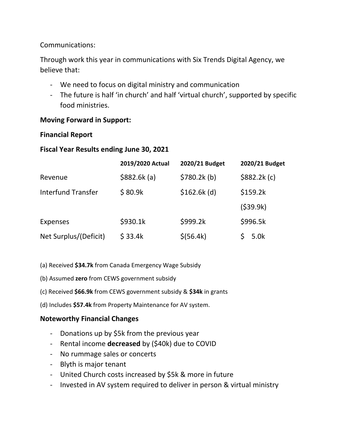## Communications:

Through work this year in communications with Six Trends Digital Agency, we believe that:

- We need to focus on digital ministry and communication
- The future is half 'in church' and half 'virtual church', supported by specific food ministries.

## **Moving Forward in Support:**

#### **Financial Report**

## **Fiscal Year Results ending June 30, 2021**

|                           | 2019/2020 Actual | 2020/21 Budget | 2020/21 Budget |
|---------------------------|------------------|----------------|----------------|
| Revenue                   | \$882.6k(a)      | \$780.2k(b)    | \$882.2k(c)    |
| <b>Interfund Transfer</b> | \$80.9k          | $$162.6k$ (d)  | \$159.2k       |
|                           |                  |                | (539.9k)       |
| <b>Expenses</b>           | \$930.1k         | \$999.2k       | \$996.5k       |
| Net Surplus/(Deficit)     | \$33.4k          | \$ (56.4k)     | 5.0k           |

(a) Received **\$34.7k** from Canada Emergency Wage Subsidy

- (b) Assumed **zero** from CEWS government subsidy
- (c) Received **\$66.9k** from CEWS government subsidy & **\$34k** in grants
- (d) Includes **\$57.4k** from Property Maintenance for AV system.

## **Noteworthy Financial Changes**

- Donations up by \$5k from the previous year
- Rental income **decreased** by (\$40k) due to COVID
- No rummage sales or concerts
- Blyth is major tenant
- United Church costs increased by \$5k & more in future
- Invested in AV system required to deliver in person & virtual ministry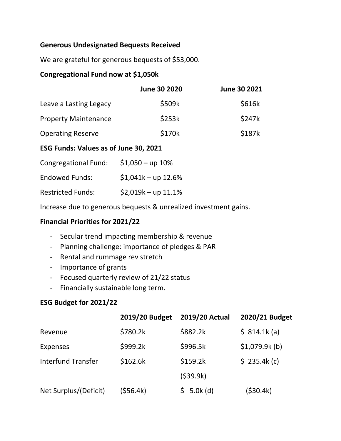## **Generous Undesignated Bequests Received**

We are grateful for generous bequests of \$53,000.

## **Congregational Fund now at \$1,050k**

|                             | <b>June 30 2020</b> | June 30 2021 |
|-----------------------------|---------------------|--------------|
| Leave a Lasting Legacy      | \$509k              | \$616k       |
| <b>Property Maintenance</b> | \$253k              | \$247k       |
| <b>Operating Reserve</b>    | \$170k              | \$187k       |

## **ESG Funds: Values as of June 30, 2021**

| <b>Congregational Fund:</b> | $$1,050 - up 10\%$   |
|-----------------------------|----------------------|
| <b>Endowed Funds:</b>       | $$1,041k$ - up 12.6% |
| <b>Restricted Funds:</b>    | $$2,019k - up 11.1%$ |

Increase due to generous bequests & unrealized investment gains.

## **Financial Priorities for 2021/22**

- Secular trend impacting membership & revenue
- Planning challenge: importance of pledges & PAR
- Rental and rummage rev stretch
- Importance of grants
- Focused quarterly review of 21/22 status
- Financially sustainable long term.

## **ESG Budget for 2021/22**

|                           | 2019/20 Budget | 2019/20 Actual | 2020/21 Budget |
|---------------------------|----------------|----------------|----------------|
| Revenue                   | \$780.2k       | \$882.2k       | \$ 814.1k (a)  |
| <b>Expenses</b>           | \$999.2k       | \$996.5k       | \$1,079.9k(b)  |
| <b>Interfund Transfer</b> | \$162.6k       | \$159.2k       | \$235.4k(c)    |
|                           |                | (539.9k)       |                |
| Net Surplus/(Deficit)     | (\$56.4k)      | \$5.0k(d)      | (\$30.4k)      |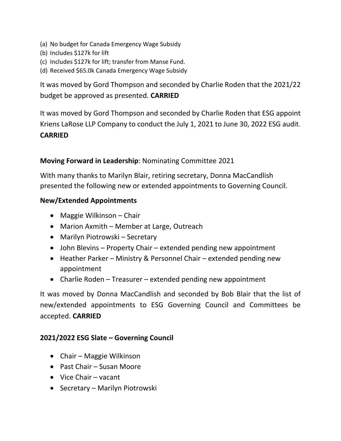- (a) No budget for Canada Emergency Wage Subsidy
- (b) Includes \$127k for lift
- (c) Includes \$127k for lift; transfer from Manse Fund.
- (d) Received \$65.0k Canada Emergency Wage Subsidy

It was moved by Gord Thompson and seconded by Charlie Roden that the 2021/22 budget be approved as presented. **CARRIED**

It was moved by Gord Thompson and seconded by Charlie Roden that ESG appoint Kriens LaRose LLP Company to conduct the July 1, 2021 to June 30, 2022 ESG audit. **CARRIED**

## **Moving Forward in Leadership**: Nominating Committee 2021

With many thanks to Marilyn Blair, retiring secretary, Donna MacCandlish presented the following new or extended appointments to Governing Council.

## **New/Extended Appointments**

- Maggie Wilkinson Chair
- Marion Axmith Member at Large, Outreach
- Marilyn Piotrowski Secretary
- John Blevins Property Chair extended pending new appointment
- Heather Parker Ministry & Personnel Chair extended pending new appointment
- Charlie Roden Treasurer extended pending new appointment

It was moved by Donna MacCandlish and seconded by Bob Blair that the list of new/extended appointments to ESG Governing Council and Committees be accepted. **CARRIED**

## **2021/2022 ESG Slate – Governing Council**

- Chair Maggie Wilkinson
- Past Chair Susan Moore
- Vice Chair vacant
- Secretary Marilyn Piotrowski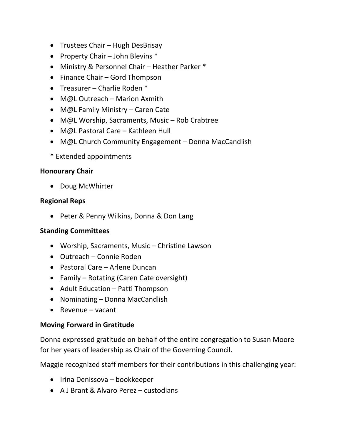- Trustees Chair Hugh DesBrisay
- Property Chair John Blevins  $*$
- Ministry & Personnel Chair Heather Parker \*
- Finance Chair Gord Thompson
- Treasurer Charlie Roden \*
- M@L Outreach Marion Axmith
- M@L Family Ministry Caren Cate
- M@L Worship, Sacraments, Music Rob Crabtree
- M@L Pastoral Care Kathleen Hull
- M@L Church Community Engagement Donna MacCandlish
- \* Extended appointments

## **Honourary Chair**

• Doug McWhirter

#### **Regional Reps**

• Peter & Penny Wilkins, Donna & Don Lang

## **Standing Committees**

- Worship, Sacraments, Music Christine Lawson
- Outreach Connie Roden
- Pastoral Care Arlene Duncan
- Family Rotating (Caren Cate oversight)
- Adult Education Patti Thompson
- Nominating Donna MacCandlish
- $\bullet$  Revenue vacant

## **Moving Forward in Gratitude**

Donna expressed gratitude on behalf of the entire congregation to Susan Moore for her years of leadership as Chair of the Governing Council.

Maggie recognized staff members for their contributions in this challenging year:

- Irina Denissova bookkeeper
- A J Brant & Alvaro Perez custodians